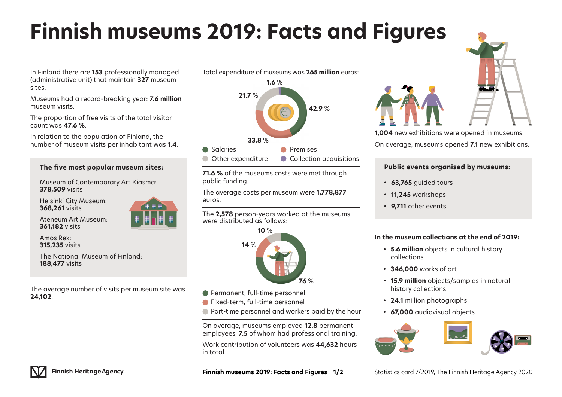# **Finnish museums 2019: Facts and Figures**

In Finland there are **153** professionally managed (administrative unit) that maintain **327** museum sites.

Museums had a record-breaking year: **7.6 million** museum visits.

The proportion of free visits of the total visitor count was **47.6 %**.

In relation to the population of Finland, the number of museum visits per inhabitant was **1.4**.

## **The five most popular museum sites:**

Museum of Contemporary Art Kiasma: **378,509** visits

Helsinki City Museum: **368,261** visits

Ateneum Art Museum: **361,182** visits

Amos Rex: **315,235** visits

The National Museum of Finland: **188,477** visits

The average number of visits per museum site was **24,102**.



Total expenditure of museums was **265 million** euros:

**1.6** %

**71.6 %** of the museums costs were met through public funding.

The average costs per museum were **1,778,877** euros.

The **2,578** person-years worked at the museums were distributed as follows:



- Permanent, full-time personnel
- **Fixed-term, full-time personnel**
- **Part-time personnel and workers paid by the hour**

On average, museums employed **12.8** permanent employees, **7.5** of whom had professional training.

Work contribution of volunteers was **44,632** hours in total.

**1,004** new exhibitions were opened in museums. On average, museums opened **7.1** new exhibitions.

### **Public events organised by museums:**

- **•  63,765** guided tours
- **•  11,245** workshops
- **•  9,711** other events

## **In the museum collections at the end of 2019:**

- **•  5.6 million** objects in cultural history collections
- **•  346,000** works of art
- **•  15.9 million** objects/samples in natural history collections
- **•  24.1** million photographs
- **•  67,000** audiovisual objects